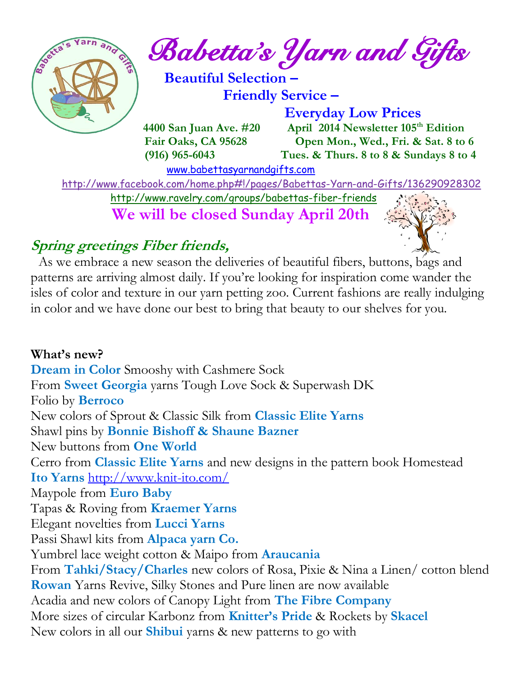

 **Fair Oaks, CA 95628 Open Mon., Wed., Fri. & Sat. 8 to 6 (916) 965-6043 Tues. & Thurs. 8 to 8 & Sundays 8 to 4** 

[www.babettasyarnandgifts.com](http://www.babettasyarnandgifts.com/)

 <http://www.facebook.com/home.php#!/pages/Babettas-Yarn-and-Gifts/136290928302> <http://www.ravelry.com/groups/babettas-fiber-friends>

**We will be closed Sunday April 20th**

## **Spring greetings Fiber friends,**



 As we embrace a new season the deliveries of beautiful fibers, buttons, bags and patterns are arriving almost daily. If you're looking for inspiration come wander the isles of color and texture in our yarn petting zoo. Current fashions are really indulging in color and we have done our best to bring that beauty to our shelves for you.

**What's new? Dream in Color** Smooshy with Cashmere Sock From **Sweet Georgia** yarns Tough Love Sock & Superwash DK Folio by **Berroco** New colors of Sprout & Classic Silk from **Classic Elite Yarns** Shawl pins by **Bonnie Bishoff & Shaune Bazner** New buttons from **One World** Cerro from **Classic Elite Yarns** and new designs in the pattern book Homestead **Ito Yarns** <http://www.knit-ito.com/> Maypole from **Euro Baby** Tapas & Roving from **Kraemer Yarns** Elegant novelties from **Lucci Yarns** Passi Shawl kits from **Alpaca yarn Co.** Yumbrel lace weight cotton & Maipo from **Araucania** From **Tahki/Stacy/Charles** new colors of Rosa, Pixie & Nina a Linen/ cotton blend **Rowan** Yarns Revive, Silky Stones and Pure linen are now available Acadia and new colors of Canopy Light from **The Fibre Company** More sizes of circular Karbonz from **Knitter's Pride** & Rockets by **Skacel** New colors in all our **Shibui** yarns & new patterns to go with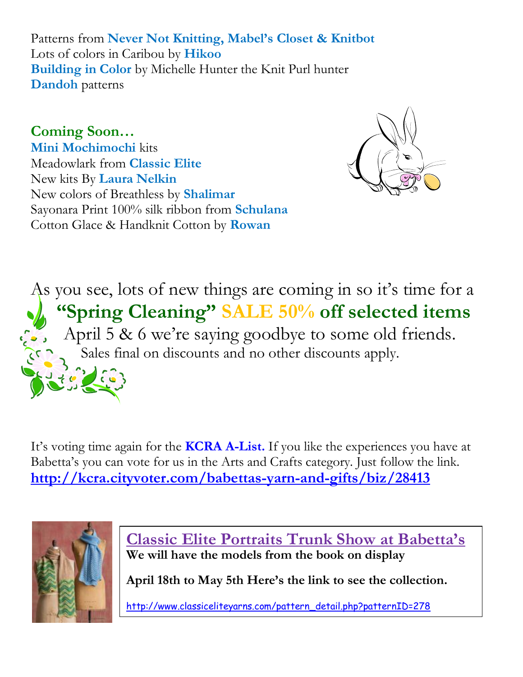Patterns from **Never Not Knitting, Mabel's Closet & Knitbot** Lots of colors in Caribou by **Hikoo Building in Color** by Michelle Hunter the Knit Purl hunter **Dandoh** patterns

**Coming Soon… Mini Mochimochi** kits Meadowlark from **Classic Elite** New kits By **Laura Nelkin** New colors of Breathless by **Shalimar** Sayonara Print 100% silk ribbon from **Schulana** Cotton Glace & Handknit Cotton by **Rowan**



As you see, lots of new things are coming in so it's time for a  **"Spring Cleaning" SALE 50% off selected items** April 5 & 6 we're saying goodbye to some old friends. Sales final on discounts and no other discounts apply.

It's voting time again for the **KCRA A-List.** If you like the experiences you have at Babetta's you can vote for us in the Arts and Crafts category. Just follow the link. **<http://kcra.cityvoter.com/babettas-yarn-and-gifts/biz/28413>**



**Classic Elite Portraits Trunk Show at Babetta's We will have the models from the book on display**

**April 18th to May 5th Here's the link to see the collection.**

[http://www.classiceliteyarns.com/pattern\\_detail.php?patternID=278](http://www.classiceliteyarns.com/pattern_detail.php?patternID=278)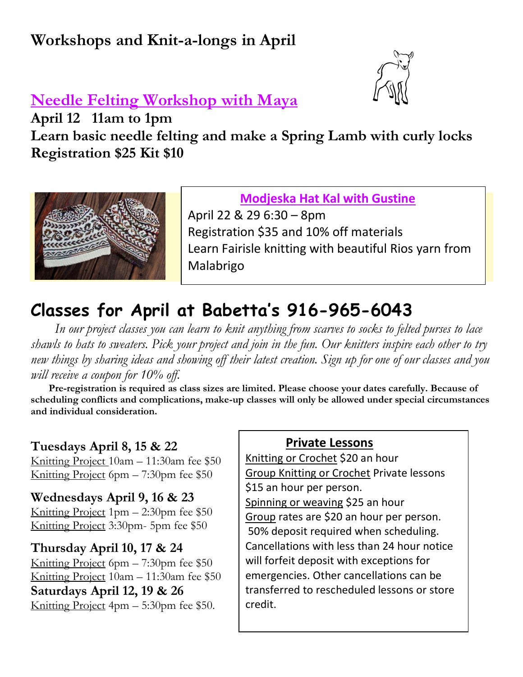# **Workshops and Knit-a-longs in April**



## **Needle Felting Workshop with Maya**

**April 12 11am to 1pm**

**Learn basic needle felting and make a Spring Lamb with curly locks Registration \$25 Kit \$10**



 **Modjeska Hat Kal with Gustine** April 22 & 29 6:30 – 8pm Registration \$35 and 10% off materials Learn Fairisle knitting with beautiful Rios yarn from Malabrigo

# **Classes for April at Babetta's 916-965-6043**

 *In our project classes you can learn to knit anything from scarves to socks to felted purses to lace shawls to hats to sweaters. Pick your project and join in the fun. Our knitters inspire each other to try new things by sharing ideas and showing off their latest creation. Sign up for one of our classes and you will receive a coupon for 10% off.*

 **Pre-registration is required as class sizes are limited. Please choose your dates carefully. Because of scheduling conflicts and complications, make-up classes will only be allowed under special circumstances and individual consideration.**

#### **Tuesdays April 8, 15 & 22**

Knitting Project 10am – 11:30am fee \$50 Knitting Project 6pm – 7:30pm fee \$50

#### **Wednesdays April 9, 16 & 23**

Knitting Project 1pm – 2:30pm fee \$50 Knitting Project 3:30pm- 5pm fee \$50

#### **Thursday April 10, 17 & 24**

Knitting Project 6pm – 7:30pm fee \$50 Knitting Project 10am – 11:30am fee \$50 **Saturdays April 12, 19 & 26** Knitting Project 4pm – 5:30pm fee \$50.

#### **Private Lessons**

Knitting or Crochet \$20 an hour Group Knitting or Crochet Private lessons \$15 an hour per person.

Spinning or weaving \$25 an hour Group rates are \$20 an hour per person. 50% deposit required when scheduling. Cancellations with less than 24 hour notice will forfeit deposit with exceptions for emergencies. Other cancellations can be transferred to rescheduled lessons or store credit.